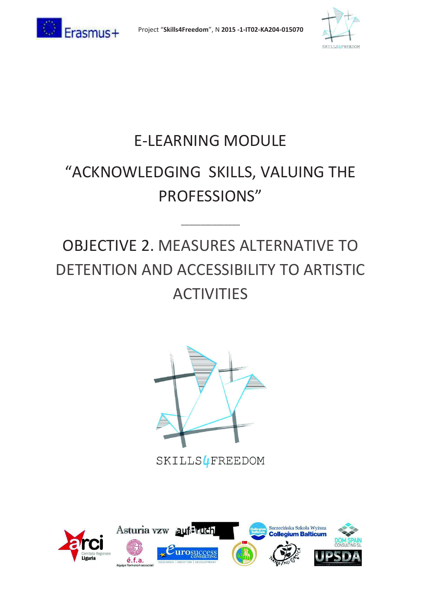



### E-LEARNING MODULE "ACKNOWLEDGING SKILLS, VALUING THE PROFESSIONS"

### OBJECTIVE 2. MEASURES ALTERNATIVE TO DETENTION AND ACCESSIBILITY TO ARTISTIC ACTIVITIES

\_\_\_\_\_\_\_\_\_\_\_\_\_\_\_



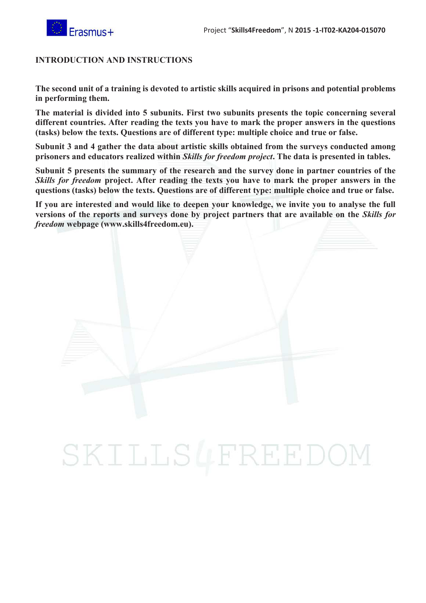

#### **INTRODUCTION AND INSTRUCTIONS**

**The second unit of a training is devoted to artistic skills acquired in prisons and potential problems in performing them.** 

**The material is divided into 5 subunits. First two subunits presents the topic concerning several different countries. After reading the texts you have to mark the proper answers in the questions (tasks) below the texts. Questions are of different type: multiple choice and true or false.** 

**Subunit 3 and 4 gather the data about artistic skills obtained from the surveys conducted among prisoners and educators realized within** *Skills for freedom project***. The data is presented in tables.** 

**Subunit 5 presents the summary of the research and the survey done in partner countries of the** *Skills for freedom* **project. After reading the texts you have to mark the proper answers in the questions (tasks) below the texts. Questions are of different type: multiple choice and true or false.** 

**If you are interested and would like to deepen your knowledge, we invite you to analyse the full versions of the reports and surveys done by project partners that are available on the** *Skills for freedom* **webpage (www.skills4freedom.eu).** 

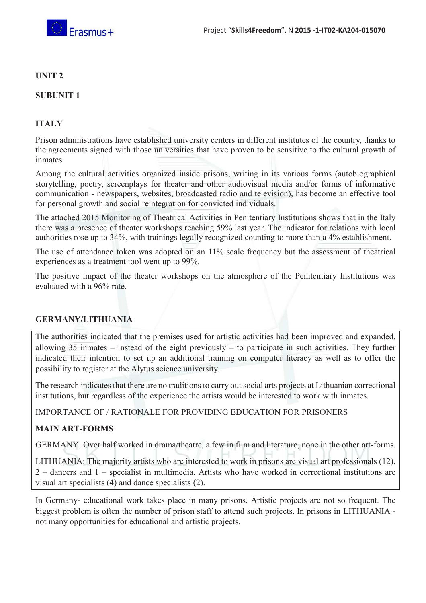

#### **UNIT 2**

#### **SUBUNIT 1**

#### **ITALY**

Prison administrations have established university centers in different institutes of the country, thanks to the agreements signed with those universities that have proven to be sensitive to the cultural growth of inmates.

Among the cultural activities organized inside prisons, writing in its various forms (autobiographical storytelling, poetry, screenplays for theater and other audiovisual media and/or forms of informative communication - newspapers, websites, broadcasted radio and television), has become an effective tool for personal growth and social reintegration for convicted individuals.

The attached 2015 Monitoring of Theatrical Activities in Penitentiary Institutions shows that in the Italy there was a presence of theater workshops reaching 59% last year. The indicator for relations with local authorities rose up to 34%, with trainings legally recognized counting to more than a 4% establishment.

The use of attendance token was adopted on an 11% scale frequency but the assessment of theatrical experiences as a treatment tool went up to 99%.

The positive impact of the theater workshops on the atmosphere of the Penitentiary Institutions was evaluated with a 96% rate.

#### **GERMANY/LITHUANIA**

The authorities indicated that the premises used for artistic activities had been improved and expanded, allowing 35 inmates – instead of the eight previously – to participate in such activities. They further indicated their intention to set up an additional training on computer literacy as well as to offer the possibility to register at the Alytus science university.

The research indicates that there are no traditions to carry out social arts projects at Lithuanian correctional institutions, but regardless of the experience the artists would be interested to work with inmates.

IMPORTANCE OF / RATIONALE FOR PROVIDING EDUCATION FOR PRISONERS

#### **MAIN ART-FORMS**

GERMANY: Over half worked in drama/theatre, a few in film and literature, none in the other art-forms.

LITHUANIA: The majority artists who are interested to work in prisons are visual art professionals (12), 2 – dancers and 1 – specialist in multimedia. Artists who have worked in correctional institutions are visual art specialists (4) and dance specialists (2).

In Germany- educational work takes place in many prisons. Artistic projects are not so frequent. The biggest problem is often the number of prison staff to attend such projects. In prisons in LITHUANIA not many opportunities for educational and artistic projects.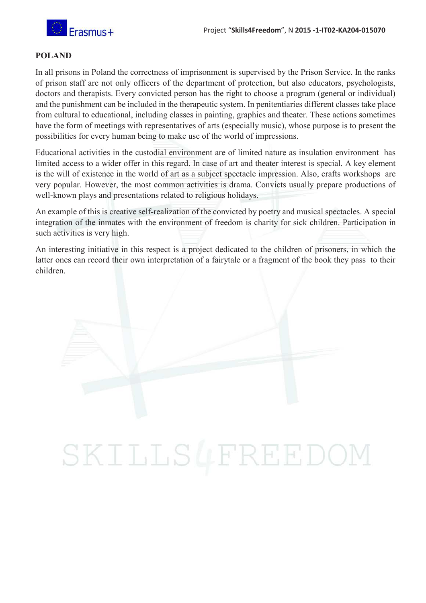

#### **POLAND**

In all prisons in Poland the correctness of imprisonment is supervised by the Prison Service. In the ranks of prison staff are not only officers of the department of protection, but also educators, psychologists, doctors and therapists. Every convicted person has the right to choose a program (general or individual) and the punishment can be included in the therapeutic system. In penitentiaries different classes take place from cultural to educational, including classes in painting, graphics and theater. These actions sometimes have the form of meetings with representatives of arts (especially music), whose purpose is to present the possibilities for every human being to make use of the world of impressions.

Educational activities in the custodial environment are of limited nature as insulation environment has limited access to a wider offer in this regard. In case of art and theater interest is special. A key element is the will of existence in the world of art as a subject spectacle impression. Also, crafts workshops are very popular. However, the most common activities is drama. Convicts usually prepare productions of well-known plays and presentations related to religious holidays.

An example of this is creative self-realization of the convicted by poetry and musical spectacles. A special integration of the inmates with the environment of freedom is charity for sick children. Participation in such activities is very high.

An interesting initiative in this respect is a project dedicated to the children of prisoners, in which the latter ones can record their own interpretation of a fairytale or a fragment of the book they pass to their children.

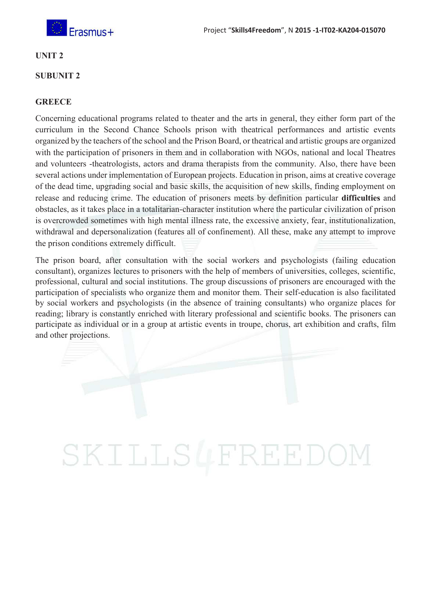

#### **UNIT 2**

#### **SUBUNIT 2**

#### **GREECE**

Concerning educational programs related to theater and the arts in general, they either form part of the curriculum in the Second Chance Schools prison with theatrical performances and artistic events organized by the teachers of the school and the Prison Board, or theatrical and artistic groups are organized with the participation of prisoners in them and in collaboration with NGOs, national and local Theatres and volunteers -theatrologists, actors and drama therapists from the community. Also, there have been several actions under implementation of European projects. Education in prison, aims at creative coverage of the dead time, upgrading social and basic skills, the acquisition of new skills, finding employment on release and reducing crime. The education of prisoners meets by definition particular **difficulties** and obstacles, as it takes place in a totalitarian-character institution where the particular civilization of prison is overcrowded sometimes with high mental illness rate, the excessive anxiety, fear, institutionalization, withdrawal and depersonalization (features all of confinement). All these, make any attempt to improve the prison conditions extremely difficult.

The prison board, after consultation with the social workers and psychologists (failing education consultant), organizes lectures to prisoners with the help of members of universities, colleges, scientific, professional, cultural and social institutions. The group discussions of prisoners are encouraged with the participation of specialists who organize them and monitor them. Their self-education is also facilitated by social workers and psychologists (in the absence of training consultants) who organize places for reading; library is constantly enriched with literary professional and scientific books. The prisoners can participate as individual or in a group at artistic events in troupe, chorus, art exhibition and crafts, film and other projections.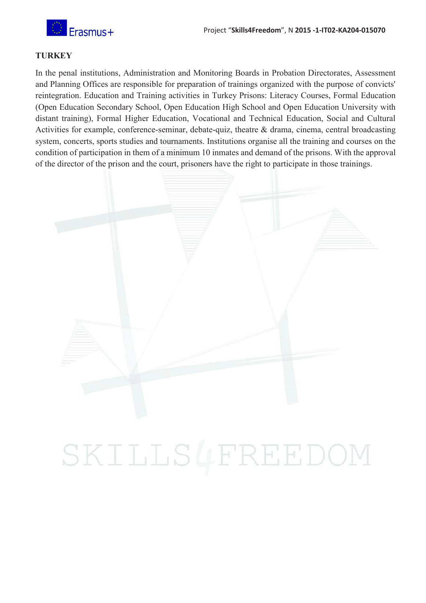

#### **TURKEY**

In the penal institutions, Administration and Monitoring Boards in Probation Directorates, Assessment and Planning Offices are responsible for preparation of trainings organized with the purpose of convicts' reintegration. Education and Training activities in Turkey Prisons: Literacy Courses, Formal Education (Open Education Secondary School, Open Education High School and Open Education University with distant training), Formal Higher Education, Vocational and Technical Education, Social and Cultural Activities for example, conference-seminar, debate-quiz, theatre & drama, cinema, central broadcasting system, concerts, sports studies and tournaments. Institutions organise all the training and courses on the condition of participation in them of a minimum 10 inmates and demand of the prisons. With the approval of the director of the prison and the court, prisoners have the right to participate in those trainings.

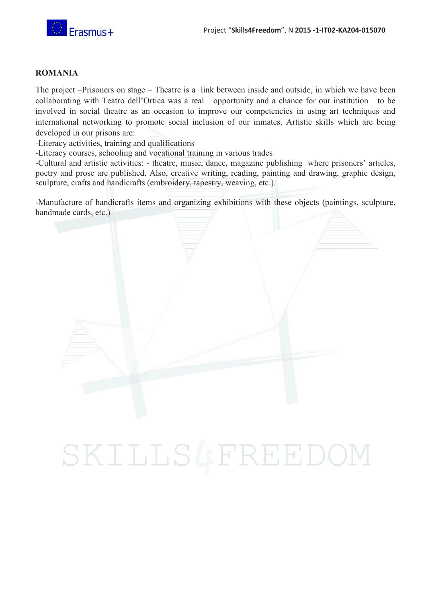

#### **ROMANIA**

The project –Prisoners on stage – Theatre is a link between inside and outside, in which we have been collaborating with Teatro dell'Ortica was a real opportunity and a chance for our institution to be involved in social theatre as an occasion to improve our competencies in using art techniques and international networking to promote social inclusion of our inmates. Artistic skills which are being developed in our prisons are:

-Literacy activities, training and qualifications

-Literacy courses, schooling and vocational training in various trades

-Cultural and artistic activities: - theatre, music, dance, magazine publishing where prisoners' articles, poetry and prose are published. Also, creative writing, reading, painting and drawing, graphic design, sculpture, crafts and handicrafts (embroidery, tapestry, weaving, etc.).

-Manufacture of handicrafts items and organizing exhibitions with these objects (paintings, sculpture, handmade cards, etc.)

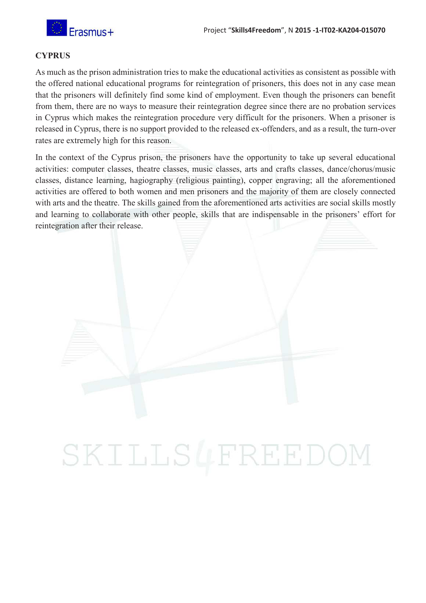

#### **CYPRUS**

As much as the prison administration tries to make the educational activities as consistent as possible with the offered national educational programs for reintegration of prisoners, this does not in any case mean that the prisoners will definitely find some kind of employment. Even though the prisoners can benefit from them, there are no ways to measure their reintegration degree since there are no probation services in Cyprus which makes the reintegration procedure very difficult for the prisoners. When a prisoner is released in Cyprus, there is no support provided to the released ex-offenders, and as a result, the turn-over rates are extremely high for this reason.

In the context of the Cyprus prison, the prisoners have the opportunity to take up several educational activities: computer classes, theatre classes, music classes, arts and crafts classes, dance/chorus/music classes, distance learning, hagiography (religious painting), copper engraving; all the aforementioned activities are offered to both women and men prisoners and the majority of them are closely connected with arts and the theatre. The skills gained from the aforementioned arts activities are social skills mostly and learning to collaborate with other people, skills that are indispensable in the prisoners' effort for reintegration after their release.

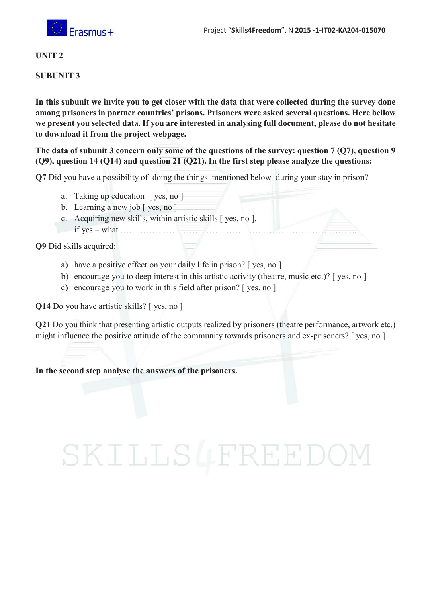

#### **UNIT 2**

#### **SUBUNIT 3**

**In this subunit we invite you to get closer with the data that were collected during the survey done among prisoners in partner countries' prisons. Prisoners were asked several questions. Here bellow we present you selected data. If you are interested in analysing full document, please do not hesitate to download it from the project webpage.** 

**The data of subunit 3 concern only some of the questions of the survey: question 7 (Q7), question 9 (Q9), question 14 (Q14) and question 21 (Q21). In the first step please analyze the questions:** 

**Q7** Did you have a possibility of doing the things mentioned below during your stay in prison?

- a. Taking up education [ yes, no ]
- b. Learning a new job  $\lceil$  yes, no  $\rceil$
- c. Acquiring new skills, within artistic skills [ yes, no ],
- if yes what ………………………………………………………………………..

**Q9** Did skills acquired:

- a) have a positive effect on your daily life in prison? [ yes, no ]
- b) encourage you to deep interest in this artistic activity (theatre, music etc.)? [yes, no ]
- c) encourage you to work in this field after prison? [ yes, no ]

**Q14** Do you have artistic skills? [ yes, no ]

**Q21** Do you think that presenting artistic outputs realized by prisoners (theatre performance, artwork etc.) might influence the positive attitude of the community towards prisoners and ex-prisoners? [ yes, no ]

**In the second step analyse the answers of the prisoners.**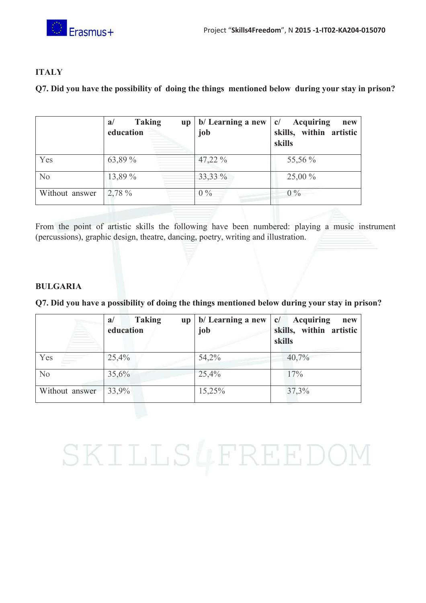

#### **ITALY**

**Q7. Did you have the possibility of doing the things mentioned below during your stay in prison?** 

|                | <b>Taking</b><br>a/<br>$\mathbf{u} \mathbf{p}$<br>education | b/ Learning a new<br>job | <b>Acquiring</b><br>c/<br>new<br>skills, within artistic<br>skills |
|----------------|-------------------------------------------------------------|--------------------------|--------------------------------------------------------------------|
| Yes            | 63,89 %                                                     | 47,22 %                  | 55,56 %                                                            |
| No             | 13,89 %                                                     | 33,33 %                  | 25,00 %                                                            |
| Without answer | 2,78 %                                                      | $0\%$                    | $0\%$                                                              |

From the point of artistic skills the following have been numbered: playing a music instrument (percussions), graphic design, theatre, dancing, poetry, writing and illustration.

#### **BULGARIA**

**Q7. Did you have a possibility of doing the things mentioned below during your stay in prison?** 

|                | <b>Taking</b><br>a/<br>$\mathbf{u} \mathbf{p}$<br>education | b/ Learning a new<br>job | <b>Acquiring</b><br>c/<br>new<br>skills, within artistic<br>skills |
|----------------|-------------------------------------------------------------|--------------------------|--------------------------------------------------------------------|
| Yes            | 25,4%                                                       | 54,2%                    | 40,7%                                                              |
| N <sub>o</sub> | 35,6%                                                       | 25,4%                    | 17%                                                                |
| Without answer | 33,9%                                                       | 15,25%                   | 37,3%                                                              |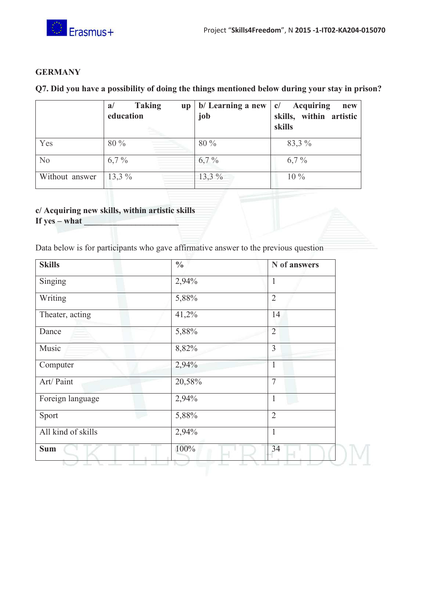

#### **GERMANY**

#### **Q7. Did you have a possibility of doing the things mentioned below during your stay in prison?**

|                | <b>Taking</b><br>a/<br><b>up</b><br>education | b/ Learning a new<br>job | <b>Acquiring</b><br>c/<br>new<br>skills, within artistic<br>skills |
|----------------|-----------------------------------------------|--------------------------|--------------------------------------------------------------------|
| Yes            | 80 %                                          | 80 %                     | 83,3 %                                                             |
| No             | $6,7\%$                                       | $6,7\%$                  | $6,7\%$                                                            |
| Without answer | $13,3\%$                                      | 13,3 %                   | $10\%$                                                             |

### **c/ Acquiring new skills, within artistic skills**

If yes  $-$  what  $-$ 

Data below is for participants who gave affirmative answer to the previous question

| <b>Skills</b>      | $\frac{0}{0}$ | N of answers   |
|--------------------|---------------|----------------|
| Singing            | 2,94%         | $\mathbf{1}$   |
| Writing            | 5,88%         | $\overline{2}$ |
| Theater, acting    | 41,2%         | 14             |
| Dance              | 5,88%         | $\overline{2}$ |
| Music              | 8,82%         | $\overline{3}$ |
| Computer           | 2,94%         | $\mathbf{1}$   |
| Art/ Paint         | 20,58%        | $\overline{7}$ |
| Foreign language   | 2,94%         | 1              |
| Sport              | 5,88%         | $\overline{2}$ |
| All kind of skills | 2,94%         | $\mathbf{1}$   |
| <b>Sum</b>         | 100%          | 34             |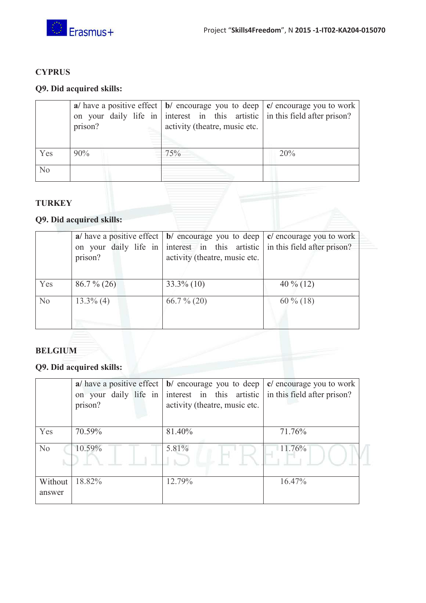

#### **CYPRUS**

#### **Q9. Did acquired skills:**

|     | prison? | a/ have a positive effect $\vert \mathbf{b} \vert$ encourage you to deep $\vert \mathbf{c} \vert$ encourage you to work<br>on your daily life in interest in this artistic in this field after prison?<br>activity (theatre, music etc. |     |
|-----|---------|-----------------------------------------------------------------------------------------------------------------------------------------------------------------------------------------------------------------------------------------|-----|
| Yes | 90%     | 75%                                                                                                                                                                                                                                     | 20% |
| No  |         |                                                                                                                                                                                                                                         |     |

#### **TURKEY**

### **Q9. Did acquired skills:**

|                | prison?       | a/ have a positive effect $\vert \mathbf{b} \vert$ encourage you to deep $\vert \mathbf{c} \vert$ encourage you to work<br>on your daily life in interest in this artistic in this field after prison?<br>activity (theatre, music etc. |              |
|----------------|---------------|-----------------------------------------------------------------------------------------------------------------------------------------------------------------------------------------------------------------------------------------|--------------|
| Yes            | $86.7\%$ (26) | $33.3\%$ (10)                                                                                                                                                                                                                           | 40 $\%$ (12) |
| N <sub>o</sub> | $13.3\%$ (4)  | $66.7\%$ (20)                                                                                                                                                                                                                           | $60\%$ (18)  |

#### **BELGIUM**

### **Q9. Did acquired skills:**

|                | a/ have a positive effect | $\vert \mathbf{b} \vert$ encourage you to deep $\vert \mathbf{c} \vert$ encourage you to work |                             |
|----------------|---------------------------|-----------------------------------------------------------------------------------------------|-----------------------------|
|                | on your daily life in     | interest in this artistic                                                                     | in this field after prison? |
|                | prison?                   | activity (theatre, music etc.                                                                 |                             |
|                |                           |                                                                                               |                             |
| Yes            | 70.59%                    | 81.40%                                                                                        | 71.76%                      |
| N <sub>o</sub> | 10.59%                    | 5.81%                                                                                         | 11.76%                      |
|                |                           |                                                                                               |                             |
|                |                           |                                                                                               |                             |
| Without        | 18.82%                    | 12.79%                                                                                        | 16.47%                      |
| answer         |                           |                                                                                               |                             |
|                |                           |                                                                                               |                             |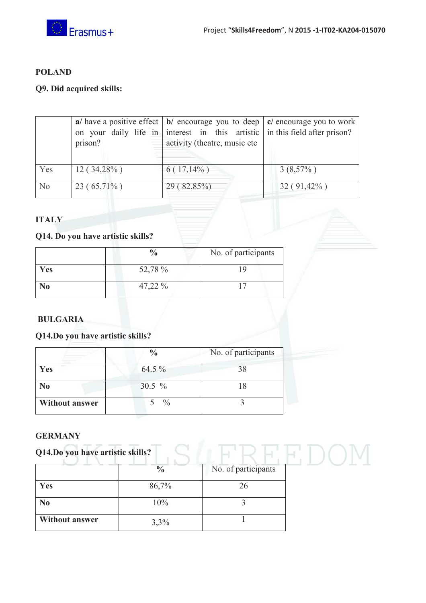

#### **POLAND**

#### **Q9. Did acquired skills:**

|                | prison?       | a/ have a positive effect $\vert \mathbf{b} \vert$ encourage you to deep $\vert \mathbf{c} \vert$ encourage you to work<br>on your daily life in interest in this artistic in this field after prison?<br>activity (theatre, music etc |               |
|----------------|---------------|----------------------------------------------------------------------------------------------------------------------------------------------------------------------------------------------------------------------------------------|---------------|
| Yes            | $12(34,28\%)$ | $6(17,14\%)$                                                                                                                                                                                                                           | $3(8,57\%)$   |
| N <sub>o</sub> | $23(65,71\%)$ | 29(82,85%)                                                                                                                                                                                                                             | $32(91,42\%)$ |

#### **ITALY**

#### **Q14. Do you have artistic skills?**

|                | $\frac{0}{0}$ | No. of participants |
|----------------|---------------|---------------------|
| Yes            | 52,78 %       |                     |
| N <sub>0</sub> | 47,22 %       |                     |

#### **BULGARIA**

#### **Q14.Do you have artistic skills?**

|                       | $\frac{0}{0}$ | No. of participants |
|-----------------------|---------------|---------------------|
| Yes                   | $64.5\%$      |                     |
| N <sub>0</sub>        | 30.5 $%$      |                     |
| <b>Without answer</b> | $\frac{0}{0}$ |                     |

#### **GERMANY**

| <b>OEIVIALL</b>                  |                           |                     |  |
|----------------------------------|---------------------------|---------------------|--|
| Q14.Do you have artistic skills? |                           |                     |  |
|                                  | $\overline{\mathbf{v}}_0$ | No. of participants |  |
| Yes                              | 86,7%                     | 26                  |  |
| N <sub>0</sub>                   | 10%                       |                     |  |
| <b>Without answer</b>            | 3,3%                      |                     |  |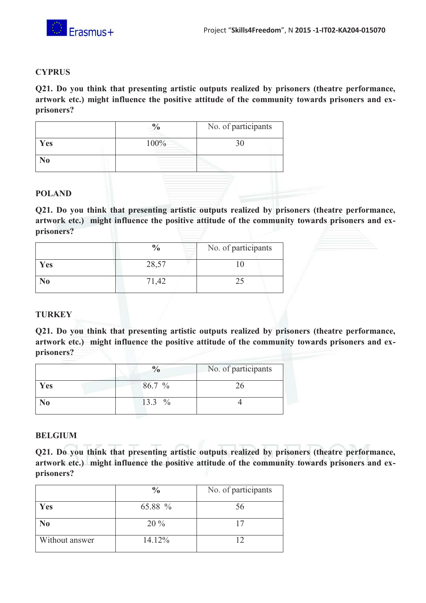

#### **CYPRUS**

**Q21. Do you think that presenting artistic outputs realized by prisoners (theatre performance, artwork etc.) might influence the positive attitude of the community towards prisoners and exprisoners?** 

|     |      | No. of participants |
|-----|------|---------------------|
| Yes | 100% |                     |
| N0  |      |                     |
|     |      |                     |

#### **POLAND**

**Q21. Do you think that presenting artistic outputs realized by prisoners (theatre performance, artwork etc.) might influence the positive attitude of the community towards prisoners and exprisoners?** 

|            | $\frac{0}{0}$ | No. of participants |
|------------|---------------|---------------------|
| <b>Yes</b> | 28,57         |                     |
| NO         |               |                     |

#### **TURKEY**

**Q21. Do you think that presenting artistic outputs realized by prisoners (theatre performance, artwork etc.) might influence the positive attitude of the community towards prisoners and exprisoners?** 

| _   |        | No. of participants |
|-----|--------|---------------------|
| Yes | 86.7 % |                     |
|     | 13.3 % |                     |

#### **BELGIUM**

**Q21. Do you think that presenting artistic outputs realized by prisoners (theatre performance, artwork etc.) might influence the positive attitude of the community towards prisoners and exprisoners?** 

|                | $\frac{0}{0}$ | No. of participants |
|----------------|---------------|---------------------|
| Yes            | 65.88 %       | 56                  |
| N <sub>0</sub> | $20\%$        |                     |
| Without answer | 14.12%        |                     |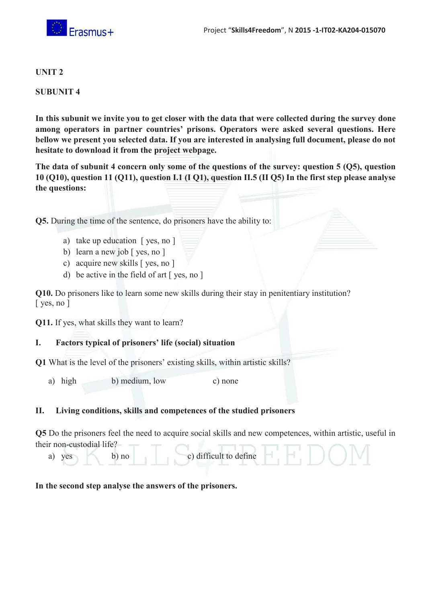

#### **UNIT 2**

#### **SUBUNIT 4**

**In this subunit we invite you to get closer with the data that were collected during the survey done among operators in partner countries' prisons. Operators were asked several questions. Here bellow we present you selected data. If you are interested in analysing full document, please do not hesitate to download it from the project webpage.** 

**The data of subunit 4 concern only some of the questions of the survey: question 5 (Q5), question 10 (Q10), question 11 (Q11), question I.1 (I Q1), question II.5 (II Q5) In the first step please analyse the questions:** 

**Q5.** During the time of the sentence, do prisoners have the ability to:

- a) take up education [ yes, no ]
- b) learn a new job [ yes, no ]
- c) acquire new skills [ yes, no ]
- d) be active in the field of art [ yes, no ]

**Q10.** Do prisoners like to learn some new skills during their stay in penitentiary institution? [ yes, no ]

**Q11.** If yes, what skills they want to learn?

#### **I. Factors typical of prisoners' life (social) situation**

**Q1** What is the level of the prisoners' existing skills, within artistic skills?

a) high b) medium, low c) none

#### **II. Living conditions, skills and competences of the studied prisoners**

**Q5** Do the prisoners feel the need to acquire social skills and new competences, within artistic, useful in their non-custodial life?

a) yes b) no c) difficult to define

#### **In the second step analyse the answers of the prisoners.**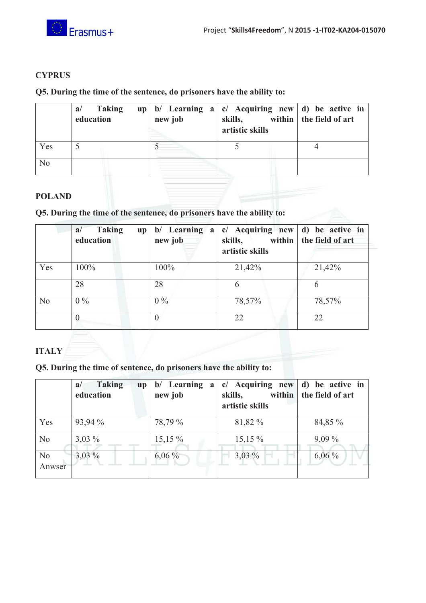



#### **CYPRUS**

#### **Q5. During the time of the sentence, do prisoners have the ability to:**

|     | Taking<br>a/<br>education | new job | up   b/ Learning $a \mid c$ Acquiring new   d) be active in<br>skills,<br>artistic skills | within   the field of art |
|-----|---------------------------|---------|-------------------------------------------------------------------------------------------|---------------------------|
| Yes |                           |         |                                                                                           |                           |
| No  |                           |         |                                                                                           |                           |

#### **POLAND**

#### **Q5. During the time of the sentence, do prisoners have the ability to:**

|     | <b>Taking</b><br>a/<br>up<br>education | b/ Learning a<br>new job | $c/$ Acquiring new d) be active in<br>skills,<br>artistic skills | within   the field of art |
|-----|----------------------------------------|--------------------------|------------------------------------------------------------------|---------------------------|
| Yes | 100%                                   | 100%                     | 21,42%                                                           | 21,42%                    |
|     | 28                                     | 28                       | 6                                                                | b                         |
| No  | $0\%$                                  | $0\%$                    | 78,57%                                                           | 78,57%                    |
|     |                                        |                          | 22                                                               | 22                        |

#### **ITALY**

**Q5. During the time of sentence, do prisoners have the ability to:** 

|                          | <b>Taking</b><br>a/<br><b>up</b><br>education | b/ Learning<br>a<br>new job | c/ Acquiring new<br>within<br>skills,<br>artistic skills | be active in<br>d)<br>the field of art |
|--------------------------|-----------------------------------------------|-----------------------------|----------------------------------------------------------|----------------------------------------|
| Yes                      | 93,94 %                                       | 78,79 %                     | 81,82 %                                                  | 84,85 %                                |
| N <sub>o</sub>           | $3,03\%$                                      | $15,15\%$                   | $15,15\%$                                                | $9,09\%$                               |
| N <sub>o</sub><br>Anwser | $3,03\%$                                      | $6,06\%$                    | $3,03\%$                                                 | $6,06\%$                               |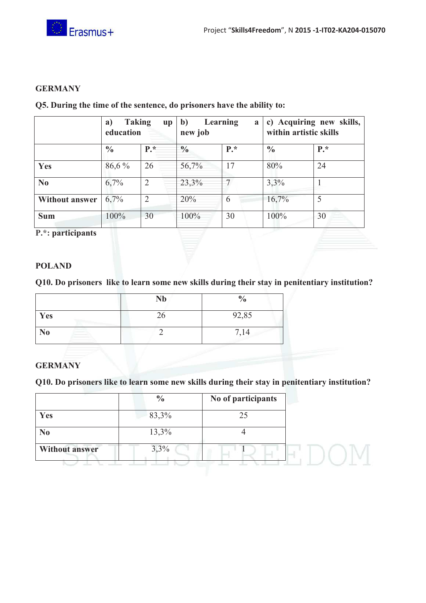

#### **GERMANY**

|                       | <b>Taking</b><br>a)<br>$\mathbf{u} \mathbf{p}$<br>education |                | b)<br>Learning<br>a<br>new job |       | c) Acquiring new skills,<br>within artistic skills |       |
|-----------------------|-------------------------------------------------------------|----------------|--------------------------------|-------|----------------------------------------------------|-------|
|                       | $\frac{0}{0}$                                               | $P^*$          | $\frac{0}{0}$                  | $P.*$ | $\frac{0}{0}$                                      | $P^*$ |
| Yes                   | 86,6 %                                                      | 26             | 56,7%                          | 17    | 80%                                                | 24    |
| N <sub>0</sub>        | 6,7%                                                        | 2              | 23,3%                          |       | 3,3%                                               |       |
| <b>Without answer</b> | 6,7%                                                        | $\mathfrak{D}$ | 20%                            | 6     | 16,7%                                              | 5     |
| <b>Sum</b>            | 100%                                                        | 30             | 100%                           | 30    | 100%                                               | 30    |

#### **Q5. During the time of the sentence, do prisoners have the ability to:**

**P.\*: participants** 

#### **POLAND**

**Q10. Do prisoners like to learn some new skills during their stay in penitentiary institution?** 

|     | <b>Nb</b> | $\frac{0}{0}$ |
|-----|-----------|---------------|
| Yes |           | 92,85         |
| No  |           | 7,14          |

#### **GERMANY**

**Q10. Do prisoners like to learn some new skills during their stay in penitentiary institution?** 

|                       | $\frac{0}{0}$ | No of participants |  |
|-----------------------|---------------|--------------------|--|
| Yes                   | 83,3%         | 25                 |  |
| N <sub>0</sub>        | 13,3%         |                    |  |
| <b>Without answer</b> | 3,3%          |                    |  |
|                       |               |                    |  |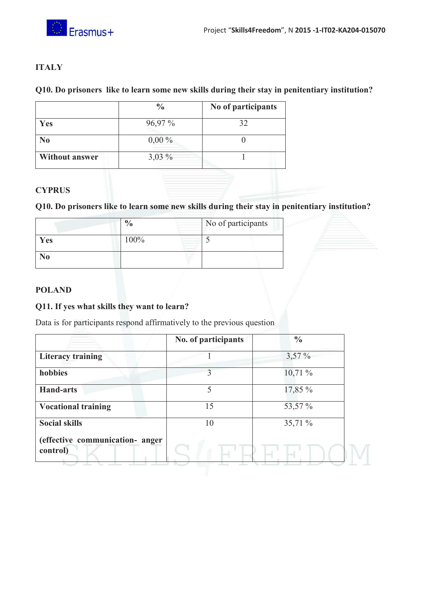

#### **ITALY**

#### **Q10. Do prisoners like to learn some new skills during their stay in penitentiary institution?**

|                       | $\frac{0}{0}$ | No of participants |
|-----------------------|---------------|--------------------|
| Yes                   | $96,97\%$     | 32                 |
| N <sub>0</sub>        | $0,00\%$      |                    |
| <b>Without answer</b> | $3,03\%$      |                    |

#### **CYPRUS**

#### **Q10. Do prisoners like to learn some new skills during their stay in penitentiary institution?**

|     |      | No of participants |
|-----|------|--------------------|
| Yes | 100% |                    |
| 80  |      |                    |

#### **POLAND**

#### **Q11. If yes what skills they want to learn?**

Data is for participants respond affirmatively to the previous question

|                                             | No. of participants | $\frac{0}{0}$ |
|---------------------------------------------|---------------------|---------------|
| <b>Literacy training</b>                    |                     | $3,57\%$      |
| hobbies                                     | 3                   | 10,71%        |
| <b>Hand-arts</b>                            | 5                   | 17,85 %       |
| <b>Vocational training</b>                  | 15                  | 53,57 %       |
| <b>Social skills</b>                        | 10                  | 35,71 %       |
| (effective communication- anger<br>control) |                     |               |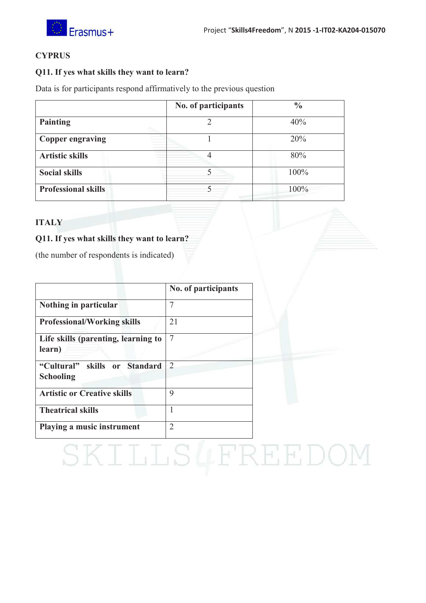



#### **CYPRUS**

#### **Q11. If yes what skills they want to learn?**

Data is for participants respond affirmatively to the previous question

|                            | No. of participants | $\frac{0}{0}$ |
|----------------------------|---------------------|---------------|
| <b>Painting</b>            |                     | 40%           |
| <b>Copper engraving</b>    |                     | 20%           |
| <b>Artistic skills</b>     |                     | 80%           |
| <b>Social skills</b>       |                     | 100%          |
| <b>Professional skills</b> |                     | 100%          |

#### **ITALY**

#### **Q11. If yes what skills they want to learn?**

(the number of respondents is indicated)

|                                               | No. of participants |  |
|-----------------------------------------------|---------------------|--|
| Nothing in particular                         | 7                   |  |
| <b>Professional/Working skills</b>            | 21                  |  |
| Life skills (parenting, learning to<br>learn) | $\overline{7}$      |  |
| "Cultural" skills or Standard<br>Schooling    | 2                   |  |
| <b>Artistic or Creative skills</b>            | 9                   |  |
| <b>Theatrical skills</b>                      |                     |  |
| Playing a music instrument                    | $\overline{2}$      |  |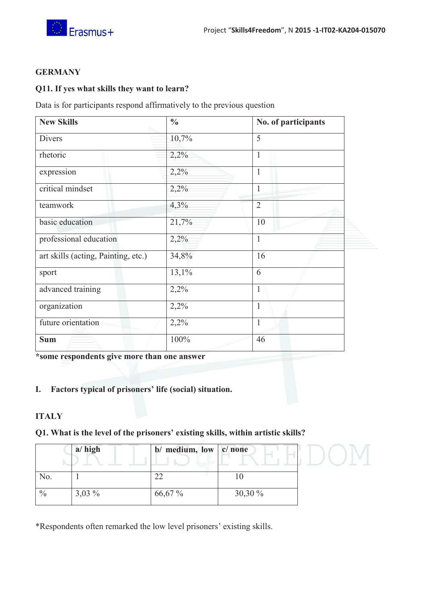

#### **GERMANY**

#### **Q11. If yes what skills they want to learn?**

Data is for participants respond affirmatively to the previous question

| <b>New Skills</b>                   | $\frac{0}{0}$ | No. of participants |
|-------------------------------------|---------------|---------------------|
| <b>Divers</b>                       | 10,7%         | 5                   |
| rhetoric                            | 2,2%          | $\mathbf{1}$        |
| expression                          | 2,2%          | $\mathbf{1}$        |
| critical mindset                    | 2,2%          | $\mathbf{1}$        |
| teamwork                            | 4,3%          | $\overline{2}$      |
| basic education                     | 21,7%         | 10                  |
| professional education              | 2,2%          | $\mathbf{1}$        |
| art skills (acting, Painting, etc.) | 34,8%         | 16                  |
| sport                               | 13,1%         | 6                   |
| advanced training                   | 2,2%          | $\mathbf{1}$        |
| organization                        | 2,2%          | $\mathbf{1}$        |
| future orientation                  | 2,2%          | $\mathbf{1}$        |
| <b>Sum</b>                          | 100%          | 46                  |

**\*some respondents give more than one answer** 

#### **I. Factors typical of prisoners' life (social) situation.**

#### **ITALY**

#### **Q1. What is the level of the prisoners' existing skills, within artistic skills?**

|               | $a/\hbox{high}$ | $b/$ medium, low $ c/$ none |           |  |
|---------------|-----------------|-----------------------------|-----------|--|
|               |                 |                             |           |  |
| No.           |                 | ∠∠                          | ΙU        |  |
| $\frac{0}{0}$ | $3,03\%$        | 66,67 %                     | $30,30\%$ |  |

\*Respondents often remarked the low level prisoners' existing skills.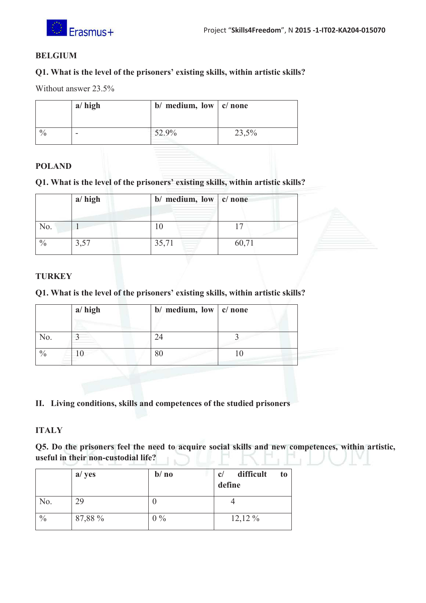

#### **BELGIUM**

#### **Q1. What is the level of the prisoners' existing skills, within artistic skills?**

Without answer 23.5%

|               | $a/\hbox{high}$ | b/ medium, low $ c $ none |       |
|---------------|-----------------|---------------------------|-------|
| $\frac{0}{0}$ | -               | 52.9%                     | 23,5% |

#### **POLAND**

#### **Q1. What is the level of the prisoners' existing skills, within artistic skills?**

|               | $a/\hbox{high}$ | $b/$ medium, low $ c/$ none |       |
|---------------|-----------------|-----------------------------|-------|
| No.           |                 |                             |       |
| $\frac{0}{0}$ | 3,57            | 35,71                       | 60,71 |

#### **TURKEY**

#### **Q1. What is the level of the prisoners' existing skills, within artistic skills?**

|     | $a/\hbox{high}$ | b/ medium, low $ c $ none |  |
|-----|-----------------|---------------------------|--|
| No. |                 |                           |  |
|     |                 |                           |  |

#### **II. Living conditions, skills and competences of the studied prisoners**

#### **ITALY**

**Q5. Do the prisoners feel the need to acquire social skills and new competences, within artistic, useful in their non-custodial life?** 

|               | a/ yes  | $b/\textbf{no}$ | difficult<br>to<br>c/<br>define |
|---------------|---------|-----------------|---------------------------------|
| No.           | 29      | U               |                                 |
| $\frac{0}{0}$ | 87,88 % | $0\%$           | $12,12\%$                       |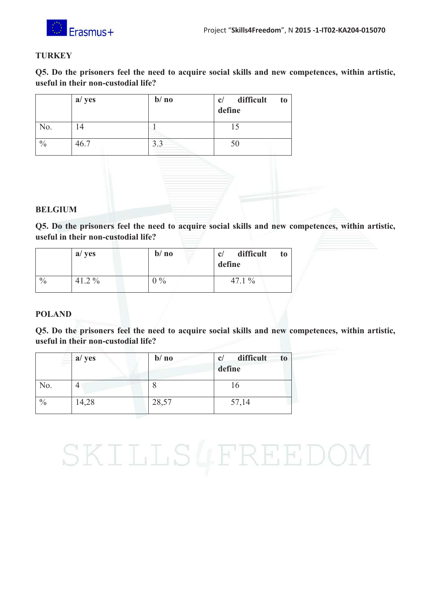

#### **TURKEY**

**Q5. Do the prisoners feel the need to acquire social skills and new competences, within artistic, useful in their non-custodial life?** 

|               | a/ yes | $b/\nno$          | difficult<br>to<br>c/<br>define |
|---------------|--------|-------------------|---------------------------------|
| No.           |        |                   |                                 |
| $\frac{0}{0}$ | 46.7   | $\gamma$ $\gamma$ |                                 |

#### **BELGIUM**

**Q5. Do the prisoners feel the need to acquire social skills and new competences, within artistic, useful in their non-custodial life?** 

|               | a/ yes   | $b/\textbf{no}$ | difficult<br>c/<br>to<br>define |
|---------------|----------|-----------------|---------------------------------|
| $\frac{0}{0}$ | $41.2\%$ | $0\%$           | 47.1 $%$                        |

#### **POLAND**

**Q5. Do the prisoners feel the need to acquire social skills and new competences, within artistic, useful in their non-custodial life?** 

| ÷             | a/ yes | $b/\textbf{no}$ | difficult<br>c/<br>t <sub>0</sub><br>define |
|---------------|--------|-----------------|---------------------------------------------|
| No.           |        |                 | 16                                          |
| $\frac{0}{0}$ | 14,28  | 28,57           | 57,14                                       |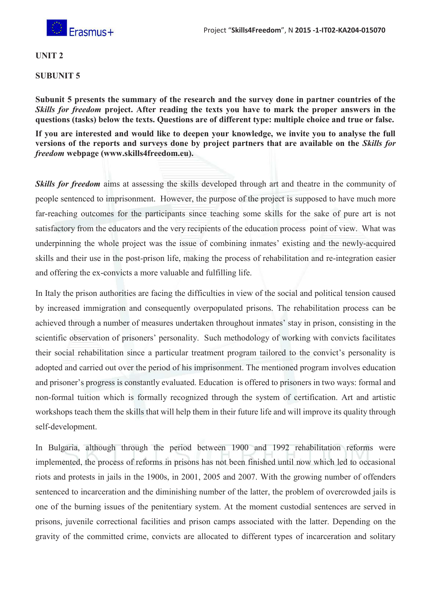

#### **UNIT 2**

#### **SUBUNIT 5**

**Subunit 5 presents the summary of the research and the survey done in partner countries of the** *Skills for freedom* **project. After reading the texts you have to mark the proper answers in the questions (tasks) below the texts. Questions are of different type: multiple choice and true or false.** 

**If you are interested and would like to deepen your knowledge, we invite you to analyse the full versions of the reports and surveys done by project partners that are available on the** *Skills for freedom* **webpage (www.skills4freedom.eu).** 

**Skills for freedom** aims at assessing the skills developed through art and theatre in the community of people sentenced to imprisonment. However, the purpose of the project is supposed to have much more far-reaching outcomes for the participants since teaching some skills for the sake of pure art is not satisfactory from the educators and the very recipients of the education process point of view. What was underpinning the whole project was the issue of combining inmates' existing and the newly-acquired skills and their use in the post-prison life, making the process of rehabilitation and re-integration easier and offering the ex-convicts a more valuable and fulfilling life.

In Italy the prison authorities are facing the difficulties in view of the social and political tension caused by increased immigration and consequently overpopulated prisons. The rehabilitation process can be achieved through a number of measures undertaken throughout inmates' stay in prison, consisting in the scientific observation of prisoners' personality. Such methodology of working with convicts facilitates their social rehabilitation since a particular treatment program tailored to the convict's personality is adopted and carried out over the period of his imprisonment. The mentioned program involves education and prisoner's progress is constantly evaluated. Education is offered to prisoners in two ways: formal and non-formal tuition which is formally recognized through the system of certification. Art and artistic workshops teach them the skills that will help them in their future life and will improve its quality through self-development.

In Bulgaria, although through the period between 1900 and 1992 rehabilitation reforms were implemented, the process of reforms in prisons has not been finished until now which led to occasional riots and protests in jails in the 1900s, in 2001, 2005 and 2007. With the growing number of offenders sentenced to incarceration and the diminishing number of the latter, the problem of overcrowded jails is one of the burning issues of the penitentiary system. At the moment custodial sentences are served in prisons, juvenile correctional facilities and prison camps associated with the latter. Depending on the gravity of the committed crime, convicts are allocated to different types of incarceration and solitary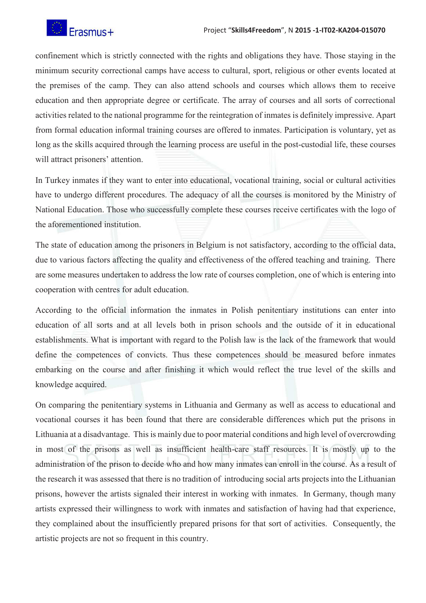

confinement which is strictly connected with the rights and obligations they have. Those staying in the minimum security correctional camps have access to cultural, sport, religious or other events located at the premises of the camp. They can also attend schools and courses which allows them to receive education and then appropriate degree or certificate. The array of courses and all sorts of correctional activities related to the national programme for the reintegration of inmates is definitely impressive. Apart from formal education informal training courses are offered to inmates. Participation is voluntary, yet as long as the skills acquired through the learning process are useful in the post-custodial life, these courses will attract prisoners' attention.

In Turkey inmates if they want to enter into educational, vocational training, social or cultural activities have to undergo different procedures. The adequacy of all the courses is monitored by the Ministry of National Education. Those who successfully complete these courses receive certificates with the logo of the aforementioned institution.

The state of education among the prisoners in Belgium is not satisfactory, according to the official data, due to various factors affecting the quality and effectiveness of the offered teaching and training. There are some measures undertaken to address the low rate of courses completion, one of which is entering into cooperation with centres for adult education.

According to the official information the inmates in Polish penitentiary institutions can enter into education of all sorts and at all levels both in prison schools and the outside of it in educational establishments. What is important with regard to the Polish law is the lack of the framework that would define the competences of convicts. Thus these competences should be measured before inmates embarking on the course and after finishing it which would reflect the true level of the skills and knowledge acquired.

On comparing the penitentiary systems in Lithuania and Germany as well as access to educational and vocational courses it has been found that there are considerable differences which put the prisons in Lithuania at a disadvantage. This is mainly due to poor material conditions and high level of overcrowding in most of the prisons as well as insufficient health-care staff resources. It is mostly up to the administration of the prison to decide who and how many inmates can enroll in the course. As a result of the research it was assessed that there is no tradition of introducing social arts projects into the Lithuanian prisons, however the artists signaled their interest in working with inmates. In Germany, though many artists expressed their willingness to work with inmates and satisfaction of having had that experience, they complained about the insufficiently prepared prisons for that sort of activities. Consequently, the artistic projects are not so frequent in this country.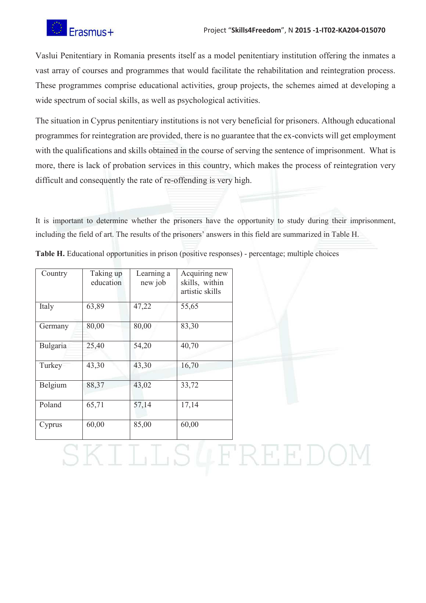

Vaslui Penitentiary in Romania presents itself as a model penitentiary institution offering the inmates a vast array of courses and programmes that would facilitate the rehabilitation and reintegration process. These programmes comprise educational activities, group projects, the schemes aimed at developing a wide spectrum of social skills, as well as psychological activities.

The situation in Cyprus penitentiary institutions is not very beneficial for prisoners. Although educational programmes for reintegration are provided, there is no guarantee that the ex-convicts will get employment with the qualifications and skills obtained in the course of serving the sentence of imprisonment. What is more, there is lack of probation services in this country, which makes the process of reintegration very difficult and consequently the rate of re-offending is very high.

It is important to determine whether the prisoners have the opportunity to study during their imprisonment, including the field of art. The results of the prisoners' answers in this field are summarized in Table H.

| Country  | Taking up<br>education | Learning a<br>new job | Acquiring new<br>skills, within<br>artistic skills |
|----------|------------------------|-----------------------|----------------------------------------------------|
| Italy    | 63,89                  | 47,22                 | 55,65                                              |
| Germany  | 80,00                  | 80,00                 | 83,30                                              |
| Bulgaria | 25,40                  | 54,20                 | 40,70                                              |
| Turkey   | 43,30                  | 43,30                 | 16,70                                              |
| Belgium  | 88,37                  | 43,02                 | 33,72                                              |
| Poland   | 65,71                  | 57,14                 | 17,14                                              |
| Cyprus   | 60,00                  | 85,00                 | 60,00                                              |

**Table H.** Educational opportunities in prison (positive responses) - percentage; multiple choices

### LLSLFREEDO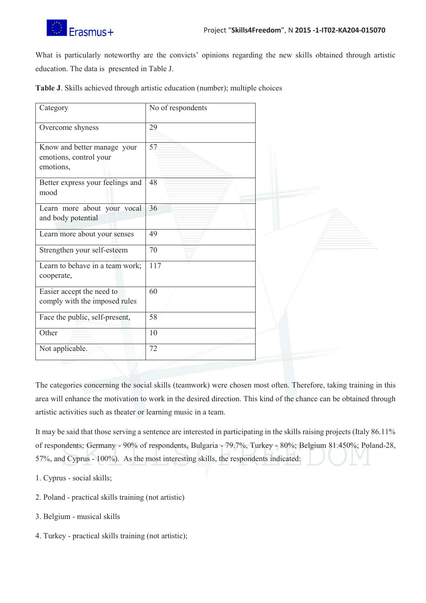

What is particularly noteworthy are the convicts' opinions regarding the new skills obtained through artistic education. The data is presented in Table J.

**Table J**. Skills achieved through artistic education (number); multiple choices

| Category                                                           | No of respondents |  |
|--------------------------------------------------------------------|-------------------|--|
| Overcome shyness                                                   | 29                |  |
| Know and better manage your<br>emotions, control your<br>emotions, | 57                |  |
| Better express your feelings and<br>mood                           | 48                |  |
| Learn more about your vocal<br>and body potential                  | 36                |  |
| Learn more about your senses                                       | 49                |  |
| Strengthen your self-esteem                                        | 70                |  |
| Learn to behave in a team work;<br>cooperate,                      | 117               |  |
| Easier accept the need to<br>comply with the imposed rules         | 60                |  |
| Face the public, self-present,                                     | 58                |  |
| Other                                                              | 10                |  |
| Not applicable.                                                    | 72                |  |

The categories concerning the social skills (teamwork) were chosen most often. Therefore, taking training in this area will enhance the motivation to work in the desired direction. This kind of the chance can be obtained through artistic activities such as theater or learning music in a team.

It may be said that those serving a sentence are interested in participating in the skills raising projects (Italy 86.11% of respondents; Germany - 90% of respondents, Bulgaria - 79.7%, Turkey - 80%; Belgium 81.450%; Poland-28, 57%, and Cyprus - 100%). As the most interesting skills, the respondents indicated:

- 1. Cyprus social skills;
- 2. Poland practical skills training (not artistic)
- 3. Belgium musical skills
- 4. Turkey practical skills training (not artistic);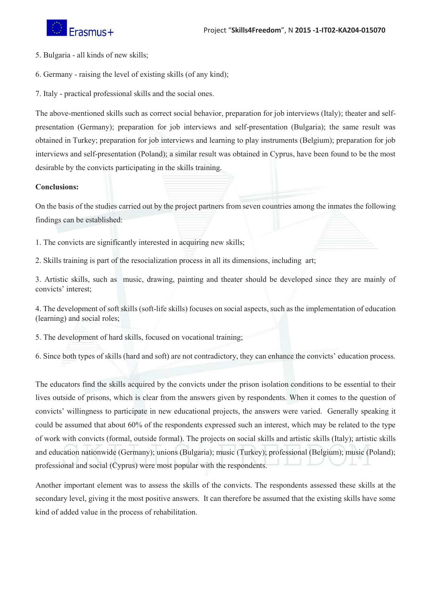

- 5. Bulgaria all kinds of new skills;
- 6. Germany raising the level of existing skills (of any kind);
- 7. Italy practical professional skills and the social ones.

The above-mentioned skills such as correct social behavior, preparation for job interviews (Italy); theater and selfpresentation (Germany); preparation for job interviews and self-presentation (Bulgaria); the same result was obtained in Turkey; preparation for job interviews and learning to play instruments (Belgium); preparation for job interviews and self-presentation (Poland); a similar result was obtained in Cyprus, have been found to be the most desirable by the convicts participating in the skills training.

#### **Conclusions:**

On the basis of the studies carried out by the project partners from seven countries among the inmates the following findings can be established:

- 1. The convicts are significantly interested in acquiring new skills;
- 2. Skills training is part of the resocialization process in all its dimensions, including art;

3. Artistic skills, such as music, drawing, painting and theater should be developed since they are mainly of convicts' interest;

4. The development of soft skills (soft-life skills) focuses on social aspects, such as the implementation of education (learning) and social roles;

5. The development of hard skills, focused on vocational training;

6. Since both types of skills (hard and soft) are not contradictory, they can enhance the convicts' education process.

The educators find the skills acquired by the convicts under the prison isolation conditions to be essential to their lives outside of prisons, which is clear from the answers given by respondents. When it comes to the question of convicts' willingness to participate in new educational projects, the answers were varied. Generally speaking it could be assumed that about 60% of the respondents expressed such an interest, which may be related to the type of work with convicts (formal, outside formal). The projects on social skills and artistic skills (Italy); artistic skills and education nationwide (Germany); unions (Bulgaria); music (Turkey); professional (Belgium); music (Poland); professional and social (Cyprus) were most popular with the respondents.

Another important element was to assess the skills of the convicts. The respondents assessed these skills at the secondary level, giving it the most positive answers. It can therefore be assumed that the existing skills have some kind of added value in the process of rehabilitation.